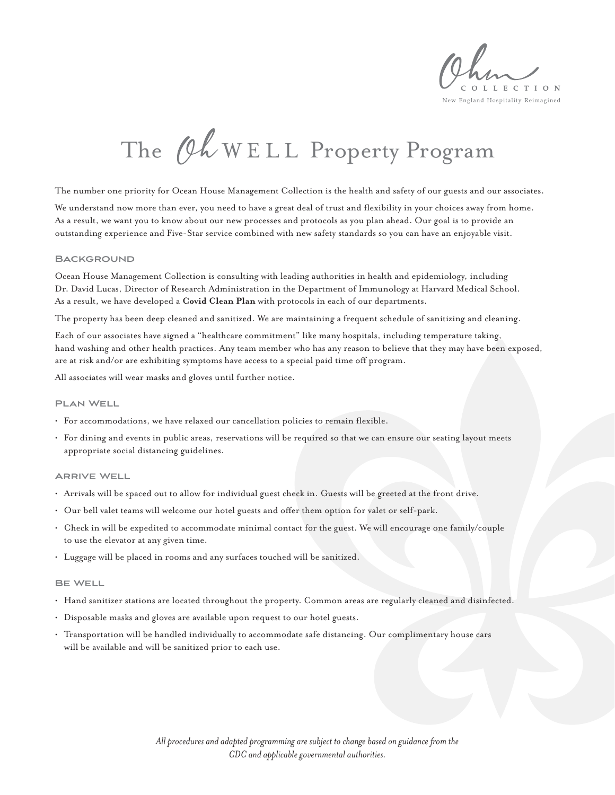L L E C T I O N New England Hospitality Reimagined

# The Ch WELL Property Program

The number one priority for Ocean House Management Collection is the health and safety of our guests and our associates.

We understand now more than ever, you need to have a great deal of trust and flexibility in your choices away from home. As a result, we want you to know about our new processes and protocols as you plan ahead. Our goal is to provide an outstanding experience and Five-Star service combined with new safety standards so you can have an enjoyable visit.

#### **Background**

Ocean House Management Collection is consulting with leading authorities in health and epidemiology, including Dr. David Lucas, Director of Research Administration in the Department of Immunology at Harvard Medical School. As a result, we have developed a **Covid Clean Plan** with protocols in each of our departments.

The property has been deep cleaned and sanitized. We are maintaining a frequent schedule of sanitizing and cleaning.

Each of our associates have signed a "healthcare commitment" like many hospitals, including temperature taking, hand washing and other health practices. Any team member who has any reason to believe that they may have been exposed, are at risk and/or are exhibiting symptoms have access to a special paid time off program.

All associates will wear masks and gloves until further notice.

#### **Plan Well**

- For accommodations, we have relaxed our cancellation policies to remain flexible.
- For dining and events in public areas, reservations will be required so that we can ensure our seating layout meets appropriate social distancing guidelines.

#### **Arrive Well**

- Arrivals will be spaced out to allow for individual guest check in. Guests will be greeted at the front drive.
- Our bell valet teams will welcome our hotel guests and offer them option for valet or self-park.
- Check in will be expedited to accommodate minimal contact for the guest. We will encourage one family/couple to use the elevator at any given time.
- Luggage will be placed in rooms and any surfaces touched will be sanitized.

#### **Be Well**

- Hand sanitizer stations are located throughout the property. Common areas are regularly cleaned and disinfected.
- Disposable masks and gloves are available upon request to our hotel guests.
- Transportation will be handled individually to accommodate safe distancing. Our complimentary house cars will be available and will be sanitized prior to each use.

*All procedures and adapted programming are subject to change based on guidance from the CDC and applicable governmental authorities.*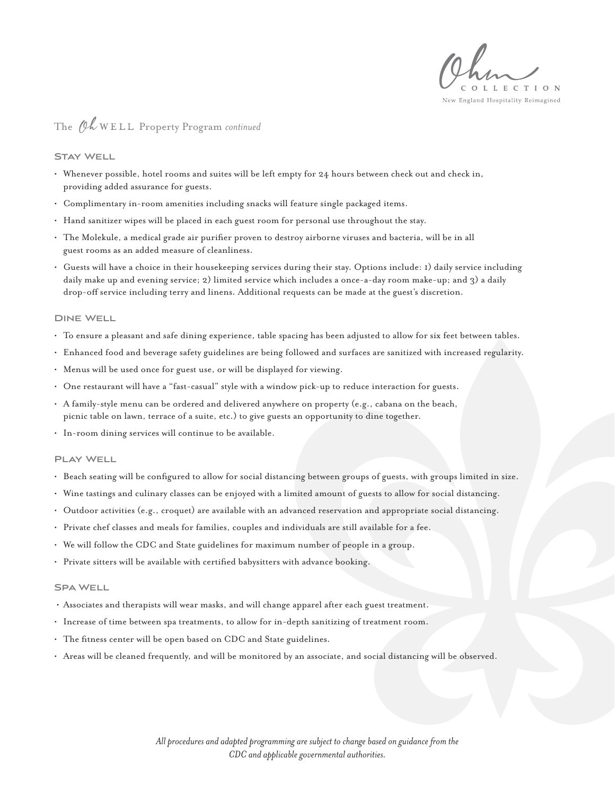L L E C T I O N

#### New England Hospitality Reimagined

### The *(Ok* WELL Property Program *continued*

#### **Stay Well**

- Whenever possible, hotel rooms and suites will be left empty for 24 hours between check out and check in, providing added assurance for guests.
- Complimentary in-room amenities including snacks will feature single packaged items.
- Hand sanitizer wipes will be placed in each guest room for personal use throughout the stay.
- The Molekule, a medical grade air purifier proven to destroy airborne viruses and bacteria, will be in all guest rooms as an added measure of cleanliness.
- Guests will have a choice in their housekeeping services during their stay. Options include: 1) daily service including daily make up and evening service; 2) limited service which includes a once-a-day room make-up; and 3) a daily drop-off service including terry and linens. Additional requests can be made at the guest's discretion.

#### **Dine Well**

- To ensure a pleasant and safe dining experience, table spacing has been adjusted to allow for six feet between tables.
- Enhanced food and beverage safety guidelines are being followed and surfaces are sanitized with increased regularity.
- Menus will be used once for guest use, or will be displayed for viewing.
- One restaurant will have a "fast-casual" style with a window pick-up to reduce interaction for guests.
- A family-style menu can be ordered and delivered anywhere on property (e.g., cabana on the beach, picnic table on lawn, terrace of a suite, etc.) to give guests an opportunity to dine together.
- In-room dining services will continue to be available.

#### **Play Well**

- Beach seating will be configured to allow for social distancing between groups of guests, with groups limited in size.
- Wine tastings and culinary classes can be enjoyed with a limited amount of guests to allow for social distancing.
- Outdoor activities (e.g., croquet) are available with an advanced reservation and appropriate social distancing.
- Private chef classes and meals for families, couples and individuals are still available for a fee.
- We will follow the CDC and State guidelines for maximum number of people in a group.
- Private sitters will be available with certified babysitters with advance booking.

#### **Spa Well**

- Associates and therapists will wear masks, and will change apparel after each guest treatment.
- Increase of time between spa treatments, to allow for in-depth sanitizing of treatment room.
- The fitness center will be open based on CDC and State guidelines.
- Areas will be cleaned frequently, and will be monitored by an associate, and social distancing will be observed.

*All procedures and adapted programming are subject to change based on guidance from the CDC and applicable governmental authorities.*